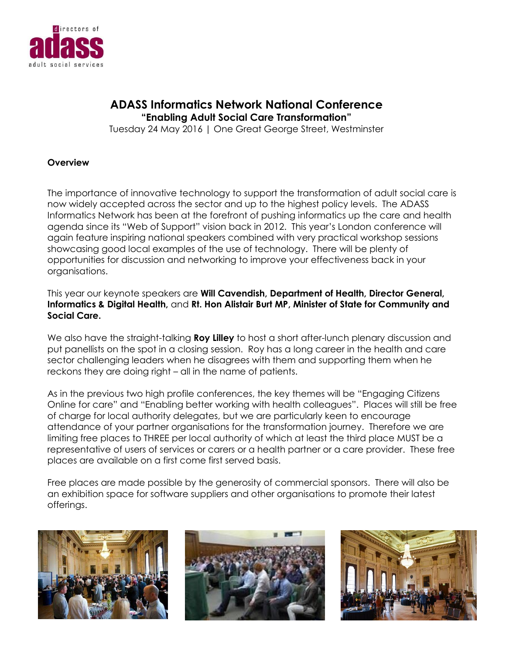

# **ADASS Informatics Network National Conference "Enabling Adult Social Care Transformation"**

Tuesday 24 May 2016 | One Great George Street, Westminster

#### **Overview**

The importance of innovative technology to support the transformation of adult social care is now widely accepted across the sector and up to the highest policy levels. The ADASS Informatics Network has been at the forefront of pushing informatics up the care and health agenda since its "Web of Support" vision back in 2012. This year's London conference will again feature inspiring national speakers combined with very practical workshop sessions showcasing good local examples of the use of technology. There will be plenty of opportunities for discussion and networking to improve your effectiveness back in your organisations.

This year our keynote speakers are **Will Cavendish, Department of Health, Director General, Informatics & Digital Health,** and **Rt. Hon Alistair Burt MP, Minister of State for Community and Social Care.**

We also have the straight-talking **Roy Lilley** to host a short after-lunch plenary discussion and put panellists on the spot in a closing session. Roy has a long career in the health and care sector challenging leaders when he disagrees with them and supporting them when he reckons they are doing right – all in the name of patients.

As in the previous two high profile conferences, the key themes will be "Engaging Citizens Online for care" and "Enabling better working with health colleagues". Places will still be free of charge for local authority delegates, but we are particularly keen to encourage attendance of your partner organisations for the transformation journey. Therefore we are limiting free places to THREE per local authority of which at least the third place MUST be a representative of users of services or carers or a health partner or a care provider. These free places are available on a first come first served basis.

Free places are made possible by the generosity of commercial sponsors. There will also be an exhibition space for software suppliers and other organisations to promote their latest offerings.





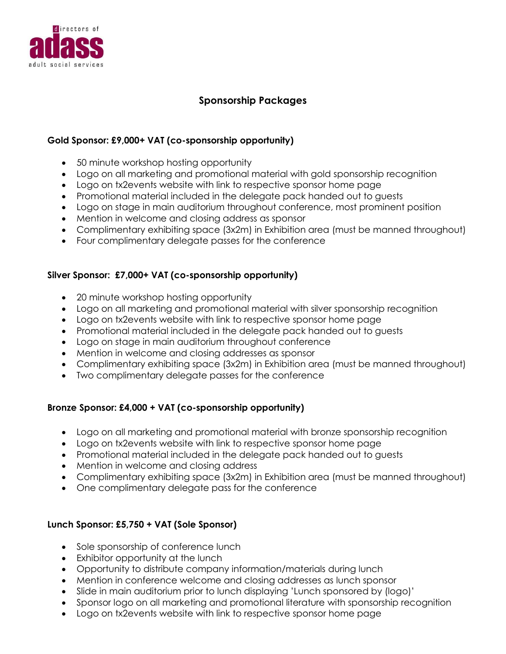

## **Sponsorship Packages**

#### **Gold Sponsor: £9,000+ VAT (co-sponsorship opportunity)**

- 50 minute workshop hosting opportunity
- Logo on all marketing and promotional material with gold sponsorship recognition
- Logo on tx2events website with link to respective sponsor home page
- Promotional material included in the delegate pack handed out to guests
- Logo on stage in main auditorium throughout conference, most prominent position
- Mention in welcome and closing address as sponsor
- Complimentary exhibiting space (3x2m) in Exhibition area (must be manned throughout)
- Four complimentary delegate passes for the conference

#### **Silver Sponsor: £7,000+ VAT (co-sponsorship opportunity)**

- 20 minute workshop hosting opportunity
- Logo on all marketing and promotional material with silver sponsorship recognition
- Logo on tx2events website with link to respective sponsor home page
- Promotional material included in the delegate pack handed out to guests
- Logo on stage in main auditorium throughout conference
- Mention in welcome and closing addresses as sponsor
- Complimentary exhibiting space (3x2m) in Exhibition area (must be manned throughout)
- Two complimentary delegate passes for the conference

### **Bronze Sponsor: £4,000 + VAT (co-sponsorship opportunity)**

- Logo on all marketing and promotional material with bronze sponsorship recognition
- Logo on tx2events website with link to respective sponsor home page
- Promotional material included in the delegate pack handed out to guests
- Mention in welcome and closing address
- Complimentary exhibiting space (3x2m) in Exhibition area (must be manned throughout)
- One complimentary delegate pass for the conference

### **Lunch Sponsor: £5,750 + VAT (Sole Sponsor)**

- Sole sponsorship of conference lunch
- Exhibitor opportunity at the lunch
- Opportunity to distribute company information/materials during lunch
- Mention in conference welcome and closing addresses as lunch sponsor
- Slide in main auditorium prior to lunch displaying 'Lunch sponsored by (logo)'
- Sponsor logo on all marketing and promotional literature with sponsorship recognition
- Logo on tx2events website with link to respective sponsor home page